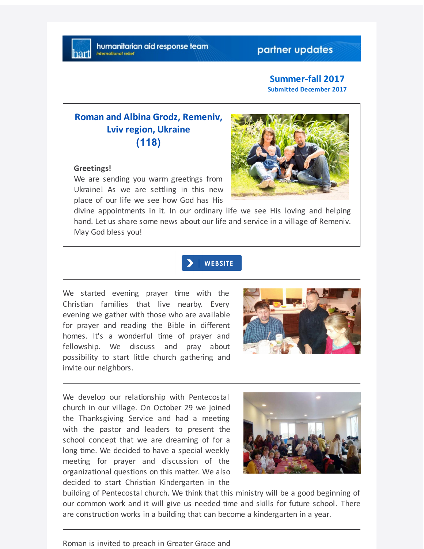## partner updates

#### **Summer-fall 2017 Submitted December 2017**

# **Roman and Albina Grodz, Remeniv, Lviv region, Ukraine (118)**

#### **Greetings!**

We are sending you warm greetings from Ukraine! As we are settling in this new place of our life we see how God has His



divine appointments in it. In our ordinary life we see His loving and helping hand. Let us share some news about our life and service in a village of Remeniv. May God bless you!

### **WEBSITE**

We started evening prayer time with the Christian families that live nearby. Every evening we gather with those who are available for prayer and reading the Bible in different homes. It's a wonderful time of prayer and fellowship. We discuss and pray about possibility to start little church gathering and invite our neighbors.



We develop our relationship with Pentecostal church in our village. On October 29 we joined the Thanksgiving Service and had a meeting with the pastor and leaders to present the school concept that we are dreaming of for a long time. We decided to have a special weekly meeting for prayer and discussion of the organizational questions on this matter. We also decided to start Christian Kindergarten in the



building of Pentecostal church. We think that this ministry will be a good beginning of our common work and it will give us needed time and skills for future school. There are construction works in a building that can become a kindergarten in a year.

Roman is invited to preach in Greater Grace and